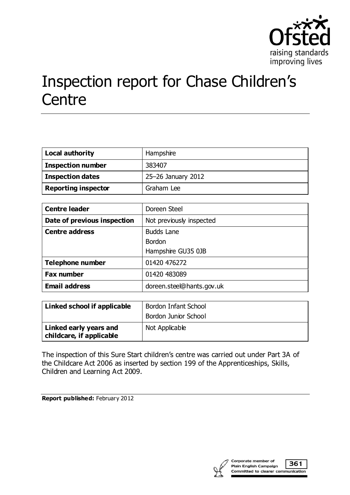

# Inspection report for Chase Children's **Centre**

| <b>Local authority</b>     | Hampshire          |
|----------------------------|--------------------|
| <b>Inspection number</b>   | 383407             |
| <b>Inspection dates</b>    | 25-26 January 2012 |
| <b>Reporting inspector</b> | Graham Lee         |

| <b>Centre leader</b>        | Doreen Steel              |
|-----------------------------|---------------------------|
| Date of previous inspection | Not previously inspected  |
| <b>Centre address</b>       | <b>Budds Lane</b>         |
|                             | <b>Bordon</b>             |
|                             | Hampshire GU35 0JB        |
| <b>Telephone number</b>     | 01420 476272              |
| <b>Fax number</b>           | 01420 483089              |
| <b>Email address</b>        | doreen.steel@hants.gov.uk |

| Linked school if applicable                        | Bordon Infant School<br>Bordon Junior School |
|----------------------------------------------------|----------------------------------------------|
| Linked early years and<br>childcare, if applicable | Not Applicable                               |

The inspection of this Sure Start children's centre was carried out under Part 3A of the Childcare Act 2006 as inserted by section 199 of the Apprenticeships, Skills, Children and Learning Act 2009.

**Report published:** February 2012

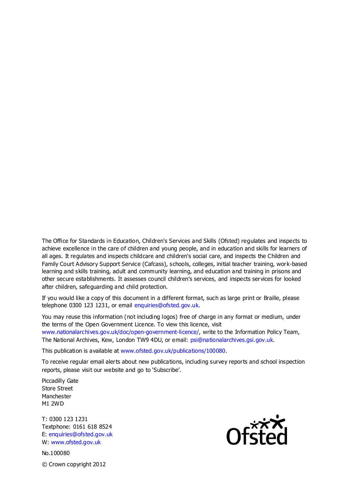The Office for Standards in Education, Children's Services and Skills (Ofsted) regulates and inspects to achieve excellence in the care of children and young people, and in education and skills for learners of all ages. It regulates and inspects childcare and children's social care, and inspects the Children and Family Court Advisory Support Service (Cafcass), schools, colleges, initial teacher training, work-based learning and skills training, adult and community learning, and education and training in prisons and other secure establishments. It assesses council children's services, and inspects services for looked after children, safeguarding and child protection.

If you would like a copy of this document in a different format, such as large print or Braille, please telephone 0300 123 1231, or email enquiries@ofsted.gov.uk.

You may reuse this information (not including logos) free of charge in any format or medium, under the terms of the Open Government Licence. To view this licence, visit www.nationalarchives.gov.uk/doc/open-government-licence/, write to the Information Policy Team, The National Archives, Kew, London TW9 4DU, or email: psi@nationalarchives.gsi.gov.uk.

This publication is available at www.ofsted.gov.uk/publications/100080.

To receive regular email alerts about new publications, including survey reports and school inspection reports, please visit our website and go to 'Subscribe'.

Piccadilly Gate Store Street Manchester M1 2WD

T: 0300 123 1231 Textphone: 0161 618 8524 E: enquiries@ofsted.gov.uk W: www.ofsted.gov.uk

No.100080 © Crown copyright 2012

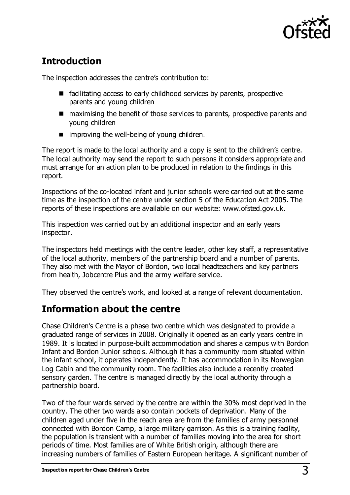

# **Introduction**

The inspection addresses the centre's contribution to:

- facilitating access to early childhood services by parents, prospective parents and young children
- maximising the benefit of those services to parents, prospective parents and young children
- $\blacksquare$  improving the well-being of young children.

The report is made to the local authority and a copy is sent to the children's centre. The local authority may send the report to such persons it considers appropriate and must arrange for an action plan to be produced in relation to the findings in this report.

Inspections of the co-located infant and junior schools were carried out at the same time as the inspection of the centre under section 5 of the Education Act 2005. The reports of these inspections are available on our website: www.ofsted.gov.uk.

This inspection was carried out by an additional inspector and an early years inspector.

The inspectors held meetings with the centre leader, other key staff, a representative of the local authority, members of the partnership board and a number of parents. They also met with the Mayor of Bordon, two local headteachers and key partners from health, Jobcentre Plus and the army welfare service.

They observed the centre's work, and looked at a range of relevant documentation.

# **Information about the centre**

Chase Children's Centre is a phase two centre which was designated to provide a graduated range of services in 2008. Originally it opened as an early years centre in 1989. It is located in purpose-built accommodation and shares a campus with Bordon Infant and Bordon Junior schools. Although it has a community room situated within the infant school, it operates independently. It has accommodation in its Norwegian Log Cabin and the community room. The facilities also include a recently created sensory garden. The centre is managed directly by the local authority through a partnership board.

Two of the four wards served by the centre are within the 30% most deprived in the country. The other two wards also contain pockets of deprivation. Many of the children aged under five in the reach area are from the families of army personnel connected with Bordon Camp, a large military garrison. As this is a training facility, the population is transient with a number of families moving into the area for short periods of time. Most families are of White British origin, although there are increasing numbers of families of Eastern European heritage. A significant number of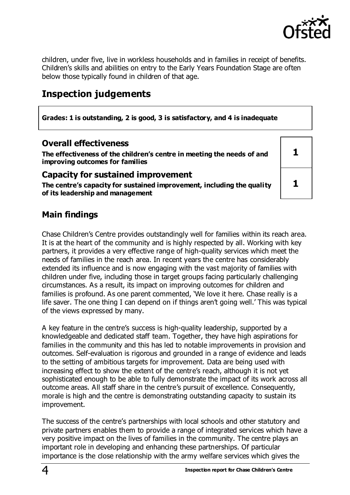

**1**

**1**

children, under five, live in workless households and in families in receipt of benefits. Children's skills and abilities on entry to the Early Years Foundation Stage are often below those typically found in children of that age.

# **Inspection judgements**

**Grades: 1 is outstanding, 2 is good, 3 is satisfactory, and 4 is inadequate**

### **Overall effectiveness**

**The effectiveness of the children's centre in meeting the needs of and improving outcomes for families**

#### **Capacity for sustained improvement**

**The centre's capacity for sustained improvement, including the quality of its leadership and management**

## **Main findings**

Chase Children's Centre provides outstandingly well for families within its reach area. It is at the heart of the community and is highly respected by all. Working with key partners, it provides a very effective range of high-quality services which meet the needs of families in the reach area. In recent years the centre has considerably extended its influence and is now engaging with the vast majority of families with children under five, including those in target groups facing particularly challenging circumstances. As a result, its impact on improving outcomes for children and families is profound. As one parent commented, 'We love it here. Chase really is a life saver. The one thing I can depend on if things aren't going well.' This was typical of the views expressed by many.

A key feature in the centre's success is high-quality leadership, supported by a knowledgeable and dedicated staff team. Together, they have high aspirations for families in the community and this has led to notable improvements in provision and outcomes. Self-evaluation is rigorous and grounded in a range of evidence and leads to the setting of ambitious targets for improvement. Data are being used with increasing effect to show the extent of the centre's reach, although it is not yet sophisticated enough to be able to fully demonstrate the impact of its work across all outcome areas. All staff share in the centre's pursuit of excellence. Consequently, morale is high and the centre is demonstrating outstanding capacity to sustain its improvement.

The success of the centre's partnerships with local schools and other statutory and private partners enables them to provide a range of integrated services which have a very positive impact on the lives of families in the community. The centre plays an important role in developing and enhancing these partnerships. Of particular importance is the close relationship with the army welfare services which gives the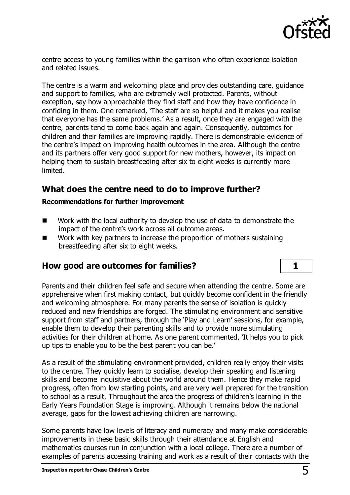

centre access to young families within the garrison who often experience isolation and related issues.

The centre is a warm and welcoming place and provides outstanding care, guidance and support to families, who are extremely well protected. Parents, without exception, say how approachable they find staff and how they have confidence in confiding in them. One remarked, 'The staff are so helpful and it makes you realise that everyone has the same problems.' As a result, once they are engaged with the centre, parents tend to come back again and again. Consequently, outcomes for children and their families are improving rapidly. There is demonstrable evidence of the centre's impact on improving health outcomes in the area. Although the centre and its partners offer very good support for new mothers, however, its impact on helping them to sustain breastfeeding after six to eight weeks is currently more limited.

## **What does the centre need to do to improve further?**

#### **Recommendations for further improvement**

- Work with the local authority to develop the use of data to demonstrate the impact of the centre's work across all outcome areas.
- Work with key partners to increase the proportion of mothers sustaining breastfeeding after six to eight weeks.

## **How good are outcomes for families? 1**

Parents and their children feel safe and secure when attending the centre. Some are apprehensive when first making contact, but quickly become confident in the friendly and welcoming atmosphere. For many parents the sense of isolation is quickly reduced and new friendships are forged. The stimulating environment and sensitive support from staff and partners, through the 'Play and Learn' sessions, for example, enable them to develop their parenting skills and to provide more stimulating activities for their children at home. As one parent commented, 'It helps you to pick up tips to enable you to be the best parent you can be.'

As a result of the stimulating environment provided, children really enjoy their visits to the centre. They quickly learn to socialise, develop their speaking and listening skills and become inquisitive about the world around them. Hence they make rapid progress, often from low starting points, and are very well prepared for the transition to school as a result. Throughout the area the progress of children's learning in the Early Years Foundation Stage is improving. Although it remains below the national average, gaps for the lowest achieving children are narrowing.

Some parents have low levels of literacy and numeracy and many make considerable improvements in these basic skills through their attendance at English and mathematics courses run in conjunction with a local college. There are a number of examples of parents accessing training and work as a result of their contacts with the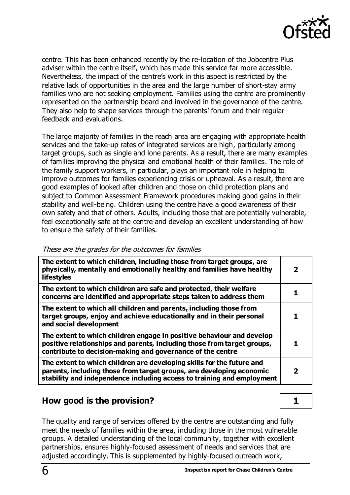

centre. This has been enhanced recently by the re-location of the Jobcentre Plus adviser within the centre itself, which has made this service far more accessible. Nevertheless, the impact of the centre's work in this aspect is restricted by the relative lack of opportunities in the area and the large number of short-stay army families who are not seeking employment. Families using the centre are prominently represented on the partnership board and involved in the governance of the centre. They also help to shape services through the parents' forum and their regular feedback and evaluations.

The large majority of families in the reach area are engaging with appropriate health services and the take-up rates of integrated services are high, particularly among target groups, such as single and lone parents. As a result, there are many examples of families improving the physical and emotional health of their families. The role of the family support workers, in particular, plays an important role in helping to improve outcomes for families experiencing crisis or upheaval. As a result, there are good examples of looked after children and those on child protection plans and subject to Common Assessment Framework procedures making good gains in their stability and well-being. Children using the centre have a good awareness of their own safety and that of others. Adults, including those that are potentially vulnerable, feel exceptionally safe at the centre and develop an excellent understanding of how to ensure the safety of their families.

| The extent to which children, including those from target groups, are<br>physically, mentally and emotionally healthy and families have healthy<br><b>lifestyles</b>                                                    | $\mathbf{2}$ |
|-------------------------------------------------------------------------------------------------------------------------------------------------------------------------------------------------------------------------|--------------|
| The extent to which children are safe and protected, their welfare<br>concerns are identified and appropriate steps taken to address them                                                                               |              |
| The extent to which all children and parents, including those from<br>target groups, enjoy and achieve educationally and in their personal<br>and social development                                                    |              |
| The extent to which children engage in positive behaviour and develop<br>positive relationships and parents, including those from target groups,<br>contribute to decision-making and governance of the centre          |              |
| The extent to which children are developing skills for the future and<br>parents, including those from target groups, are developing economic<br>stability and independence including access to training and employment | 2            |

These are the grades for the outcomes for families

## **How good is the provision? 1**

The quality and range of services offered by the centre are outstanding and fully meet the needs of families within the area, including those in the most vulnerable groups. A detailed understanding of the local community, together with excellent partnerships, ensures highly-focused assessment of needs and services that are adjusted accordingly. This is supplemented by highly-focused outreach work,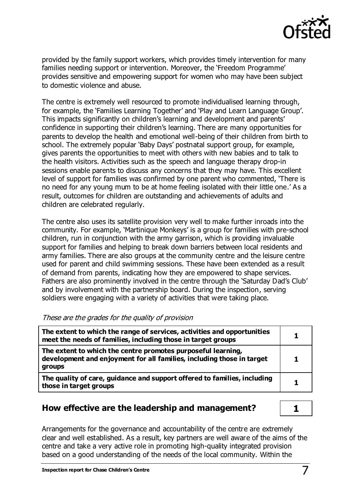

provided by the family support workers, which provides timely intervention for many families needing support or intervention. Moreover, the 'Freedom Programme' provides sensitive and empowering support for women who may have been subject to domestic violence and abuse.

The centre is extremely well resourced to promote individualised learning through, for example, the 'Families Learning Together' and 'Play and Learn Language Group'. This impacts significantly on children's learning and development and parents' confidence in supporting their children's learning. There are many opportunities for parents to develop the health and emotional well-being of their children from birth to school. The extremely popular 'Baby Days' postnatal support group, for example, gives parents the opportunities to meet with others with new babies and to talk to the health visitors. Activities such as the speech and language therapy drop-in sessions enable parents to discuss any concerns that they may have. This excellent level of support for families was confirmed by one parent who commented, 'There is no need for any young mum to be at home feeling isolated with their little one.' As a result, outcomes for children are outstanding and achievements of adults and children are celebrated regularly.

The centre also uses its satellite provision very well to make further inroads into the community. For example, 'Martinique Monkeys' is a group for families with pre-school children, run in conjunction with the army garrison, which is providing invaluable support for families and helping to break down barriers between local residents and army families. There are also groups at the community centre and the leisure centre used for parent and child swimming sessions. These have been extended as a result of demand from parents, indicating how they are empowered to shape services. Fathers are also prominently involved in the centre through the 'Saturday Dad's Club' and by involvement with the partnership board. During the inspection, serving soldiers were engaging with a variety of activities that were taking place.

These are the grades for the quality of provision

| The extent to which the range of services, activities and opportunities<br>meet the needs of families, including those in target groups         |  |
|-------------------------------------------------------------------------------------------------------------------------------------------------|--|
| The extent to which the centre promotes purposeful learning,<br>development and enjoyment for all families, including those in target<br>groups |  |
| The quality of care, guidance and support offered to families, including<br>those in target groups                                              |  |

## **How effective are the leadership and management? 1**

Arrangements for the governance and accountability of the centre are extremely clear and well established. As a result, key partners are well aware of the aims of the centre and take a very active role in promoting high-quality integrated provision based on a good understanding of the needs of the local community. Within the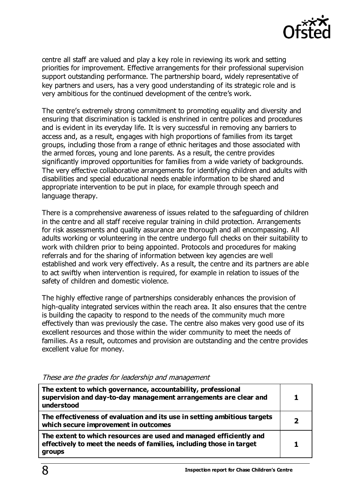

centre all staff are valued and play a key role in reviewing its work and setting priorities for improvement. Effective arrangements for their professional supervision support outstanding performance. The partnership board, widely representative of key partners and users, has a very good understanding of its strategic role and is very ambitious for the continued development of the centre's work.

The centre's extremely strong commitment to promoting equality and diversity and ensuring that discrimination is tackled is enshrined in centre polices and procedures and is evident in its everyday life. It is very successful in removing any barriers to access and, as a result, engages with high proportions of families from its target groups, including those from a range of ethnic heritages and those associated with the armed forces, young and lone parents. As a result, the centre provides significantly improved opportunities for families from a wide variety of backgrounds. The very effective collaborative arrangements for identifying children and adults with disabilities and special educational needs enable information to be shared and appropriate intervention to be put in place, for example through speech and language therapy.

There is a comprehensive awareness of issues related to the safeguarding of children in the centre and all staff receive regular training in child protection. Arrangements for risk assessments and quality assurance are thorough and all encompassing. All adults working or volunteering in the centre undergo full checks on their suitability to work with children prior to being appointed. Protocols and procedures for making referrals and for the sharing of information between key agencies are well established and work very effectively. As a result, the centre and its partners are able to act swiftly when intervention is required, for example in relation to issues of the safety of children and domestic violence.

The highly effective range of partnerships considerably enhances the provision of high-quality integrated services within the reach area. It also ensures that the centre is building the capacity to respond to the needs of the community much more effectively than was previously the case. The centre also makes very good use of its excellent resources and those within the wider community to meet the needs of families. As a result, outcomes and provision are outstanding and the centre provides excellent value for money.

| The extent to which governance, accountability, professional<br>supervision and day-to-day management arrangements are clear and<br>understood              |   |
|-------------------------------------------------------------------------------------------------------------------------------------------------------------|---|
| The effectiveness of evaluation and its use in setting ambitious targets<br>which secure improvement in outcomes                                            |   |
| The extent to which resources are used and managed efficiently and<br>effectively to meet the needs of families, including those in target<br><b>groups</b> | 1 |

#### These are the grades for leadership and management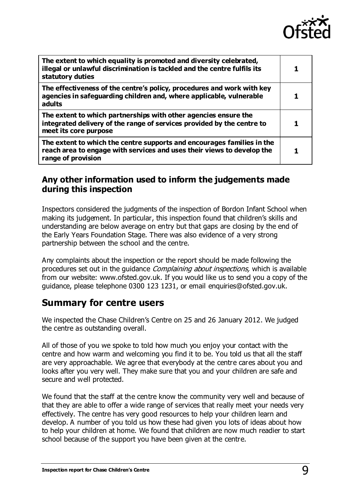

| The extent to which equality is promoted and diversity celebrated,<br>illegal or unlawful discrimination is tackled and the centre fulfils its<br>statutory duties     |  |
|------------------------------------------------------------------------------------------------------------------------------------------------------------------------|--|
| The effectiveness of the centre's policy, procedures and work with key<br>agencies in safeguarding children and, where applicable, vulnerable<br>adults                |  |
| The extent to which partnerships with other agencies ensure the<br>integrated delivery of the range of services provided by the centre to<br>meet its core purpose     |  |
| The extent to which the centre supports and encourages families in the<br>reach area to engage with services and uses their views to develop the<br>range of provision |  |

## **Any other information used to inform the judgements made during this inspection**

Inspectors considered the judgments of the inspection of Bordon Infant School when making its judgement. In particular, this inspection found that children's skills and understanding are below average on entry but that gaps are closing by the end of the Early Years Foundation Stage. There was also evidence of a very strong partnership between the school and the centre.

Any complaints about the inspection or the report should be made following the procedures set out in the guidance *Complaining about inspections*, which is available from our website: www.ofsted.gov.uk. If you would like us to send you a copy of the guidance, please telephone 0300 123 1231, or email enquiries@ofsted.gov.uk.

## **Summary for centre users**

We inspected the Chase Children's Centre on 25 and 26 January 2012. We judged the centre as outstanding overall.

All of those of you we spoke to told how much you enjoy your contact with the centre and how warm and welcoming you find it to be. You told us that all the staff are very approachable. We agree that everybody at the centre cares about you and looks after you very well. They make sure that you and your children are safe and secure and well protected.

We found that the staff at the centre know the community very well and because of that they are able to offer a wide range of services that really meet your needs very effectively. The centre has very good resources to help your children learn and develop. A number of you told us how these had given you lots of ideas about how to help your children at home. We found that children are now much readier to start school because of the support you have been given at the centre.